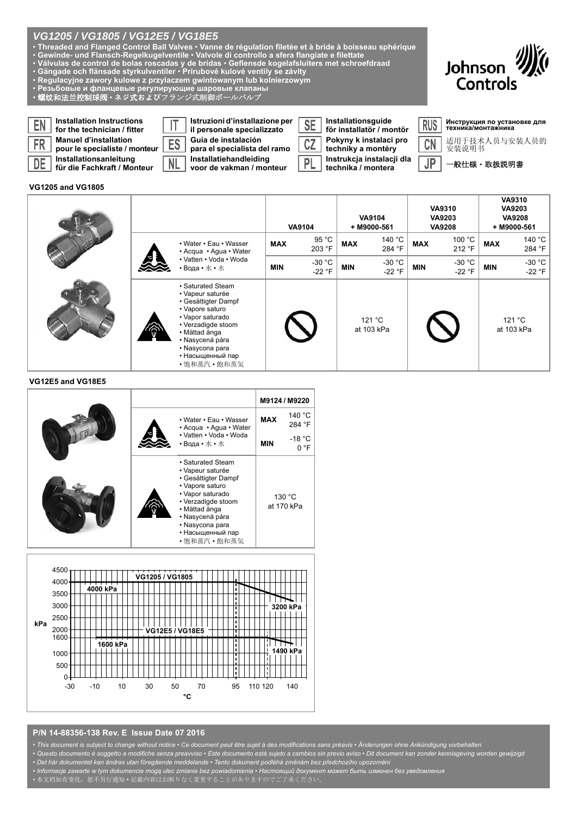| VG1205 / VG1805 / VG12E5 / VG18E5<br>• Threaded and Flanged Control Ball Valves • Vanne de régulation filetée et à bride à boisseau sphérique<br>• Gewinde- und Flansch-Regelkugelventile • Valvole di controllo a sfera flangiate e filettate<br>• Válvulas de control de bolas roscadas y de bridas • Geflensde kogelafsluiters met schroefdraad<br>· Gängade och flänsade styrkulventiler · Prírubové kulové ventily se závity<br>$\cdot$ Regulacyjne zawory kulowe z przylaczem gwintowanym lub kolnierzowym<br>• Резьбовые и фланцевые регулирующие шаровые клапаны<br>·螺纹和法兰控制球阀·ネジ式およびフランジ式制御ボールバルブ |           | Johnson <b>///(</b><br>Controls                   |
|------------------------------------------------------------------------------------------------------------------------------------------------------------------------------------------------------------------------------------------------------------------------------------------------------------------------------------------------------------------------------------------------------------------------------------------------------------------------------------------------------------------------------------------------------------------------------------------------------------|-----------|---------------------------------------------------|
| Installation Instructions<br>Istruzioni d'installazione per<br>Installationsquide<br><b>SE</b><br>EN<br>for the technician / fitter<br>il personale specializzato<br>för installatör / montör                                                                                                                                                                                                                                                                                                                                                                                                              | RUS       | Инструкция по установке для<br>техника/монтажника |
| Pokyny k instalaci pro<br><b>Manuel d'installation</b><br>Guía de instalación<br><b>FR</b><br>CZ<br>ES<br>pour le specialiste / monteur<br>para el specialista del ramo<br>techniky a montéry                                                                                                                                                                                                                                                                                                                                                                                                              | <b>CN</b> | 适用于技术人员与安装人员的<br>安装说明书                            |
| Instrukcja instalacji dla<br>Installationsanleitung<br>Installatiehandleiding<br>DE<br><b>NL</b><br>PL<br>für die Fachkraft / Monteur<br>voor de vakman / monteur<br>technika / montera                                                                                                                                                                                                                                                                                                                                                                                                                    | ID        | 一般仕様・取扱説明書                                        |
|                                                                                                                                                                                                                                                                                                                                                                                                                                                                                                                                                                                                            |           |                                                   |

<u> 1989 - Johann Barnett, mars et al. 1989 - Anna ann an t-</u>

### **VG1205 and VG1805**

*VG1205 / VG1805 / VG12E5 / VG18E5*

| VU IZUJ AIIU VU IUUJ |    |                                                                                                                                                                                                                       |               |                            |                              |                      |                                                 |                              |                                                                |                                     |
|----------------------|----|-----------------------------------------------------------------------------------------------------------------------------------------------------------------------------------------------------------------------|---------------|----------------------------|------------------------------|----------------------|-------------------------------------------------|------------------------------|----------------------------------------------------------------|-------------------------------------|
|                      |    |                                                                                                                                                                                                                       | <b>VA9104</b> |                            | <b>VA9104</b><br>+ M9000-561 |                      | <b>VA9310</b><br><b>VA9203</b><br><b>VA9208</b> |                              | <b>VA9310</b><br><b>VA9203</b><br><b>VA9208</b><br>+ M9000-561 |                                     |
|                      |    | • Water • Eau • Wasser<br>• Acqua • Agua • Water<br>• Vatten • Voda • Woda<br>・Вода・水・水                                                                                                                               | <b>MAX</b>    | 95 °C<br>203 °F            | <b>MAX</b>                   | 140 °C<br>284 °F     | <b>MAX</b>                                      | 100 °C<br>212 °F             | <b>MAX</b>                                                     | 140 °C<br>284 °F                    |
|                      |    |                                                                                                                                                                                                                       | <b>MIN</b>    | -30 $^{\circ}$ C<br>-22 °F | MIN                          | $-30 °C$<br>-22 °F   | <b>MIN</b>                                      | -30 $^{\circ}$ C<br>$-22 °F$ | <b>MIN</b>                                                     | -30 $^{\circ}$ C<br>-22 $\degree$ F |
|                      | ଚି | • Saturated Steam<br>• Vapeur saturée<br>• Gesättigter Dampf<br>• Vapore saturo<br>• Vapor saturado<br>• Verzadigde stoom<br>• Mättad ånga<br>• Nasycená pára<br>• Nasycona para<br>• Насыщенный пар<br>• 饱和蒸汽 • 飽和蒸気 |               |                            |                              | 121 °C<br>at 103 kPa |                                                 |                              |                                                                | 121 °C<br>at 103 kPa                |

## **VG12E5 and VG18E5**

|  |                                                                                         |                      | M9124 / M9220    |  |
|--|-----------------------------------------------------------------------------------------|----------------------|------------------|--|
|  | • Water • Eau • Wasser<br>• Acqua • Aqua • Water<br>• Vatten • Voda • Woda<br>・Вода・水・水 | <b>MAX</b>           | 140 °C<br>284 °F |  |
|  |                                                                                         | <b>MIN</b>           | $-18 °C$<br>0 °F |  |
|  |                                                                                         | 130 °C<br>at 170 kPa |                  |  |



## **P/N 14-88356-138 Rev. E Issue Date 07 2016**

• *This document is subject to change without notice* • *Ce document peut être sujet à des modifications sans préavis* • *Änderungen ohne Ankündigung vorbehalten* 

- • *Questo documento è soggetto a modifiche senza preavviso* • *Este documento está sujeto a cambios sin previo aviso* • *Dit document kan zonder kennisgeving worden gewijzigd*  • *Det här dokumentet kan ändras utan föregående meddelande* • *Tento dokument podléhá změnám bez předchozího upozornění*
- • *Informacje zawarte w tym dokumencie mogą ulec zmianie bez powiadomienia Настоящий документ может быть изменен без уведомления*
- •本文档如有变化,恕不另行通知 •記載内容はお断りなく変更することがありますのでご了承ください。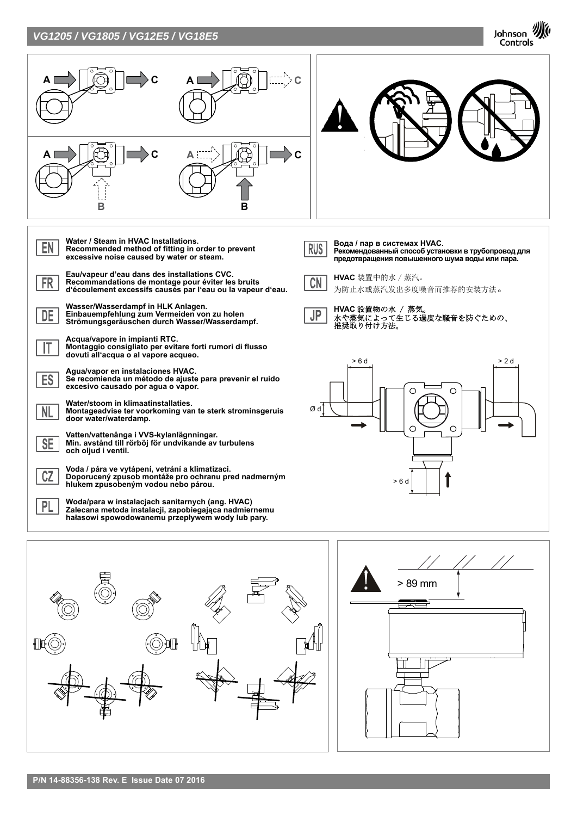## *VG1205 / VG1805 / VG12E5 / VG18E5*









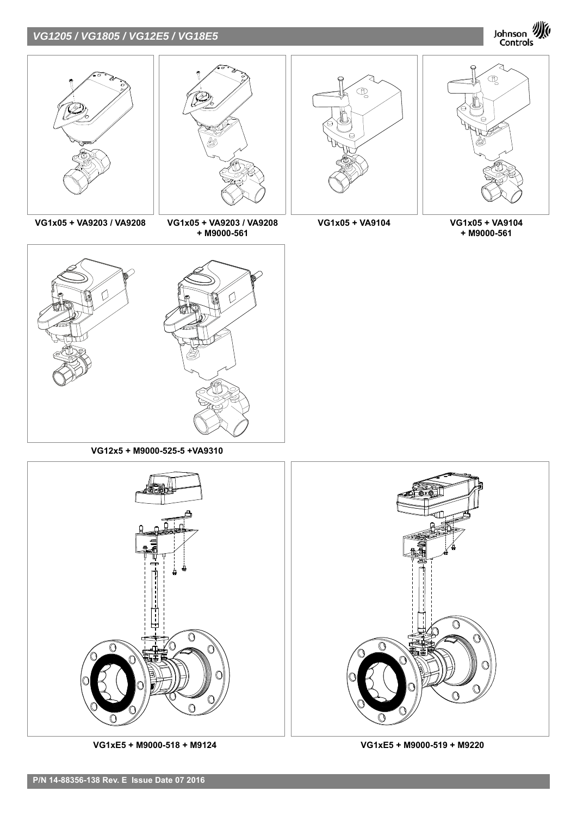## *VG1205 / VG1805 / VG12E5 / VG18E5*





**VG1xE5 + M9000-518 + M9124 VG1xE5 + M9000-519 + M9220**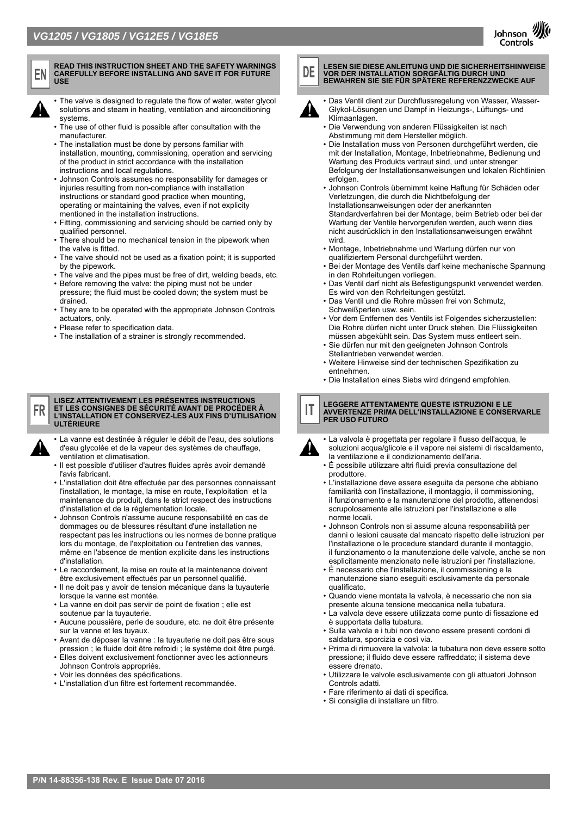

## **READ THIS INSTRUCTION SHEET AND THE SAFETY WARNINGS CAREFULLY BEFORE INSTALLING AND SAVE IT FOR FUTURE USE**

- The valve is designed to regulate the flow of water, water glycol solutions and steam in heating, ventilation and airconditioning systems.
- The use of other fluid is possible after consultation with the manufacturer.
- The installation must be done by persons familiar with installation, mounting, commissioning, operation and servicing of the product in strict accordance with the installation instructions and local regulations.
- Johnson Controls assumes no responsability for damages or injuries resulting from non-compliance with installation instructions or standard good practice when mounting, operating or maintaining the valves, even if not explicity mentioned in the installation instructions.
- Fitting, commissioning and servicing should be carried only by qualified personnel.
- There should be no mechanical tension in the pipework when the valve is fitted.
- The valve should not be used as a fixation point; it is supported by the pipework.
- The valve and the pipes must be free of dirt, welding beads, etc.
- Before removing the valve: the piping must not be under pressure; the fluid must be cooled down; the system must be drained.
- They are to be operated with the appropriate Johnson Controls actuators, only.
- Please refer to specification data.
- The installation of a strainer is strongly recommended.

### **LISEZ ATTENTIVEMENT LES PRÉSENTES INSTRUCTIONS ET LES CONSIGNES DE SÉCURITÉ AVANT DE PROCÉDER À L'INSTALLATION ET CONSERVEZ-LES AUX FINS D'UTILISATION ULTÉRIEURE**



FR

- La vanne est destinée à réguler le débit de l'eau, des solutions d'eau glycolée et de la vapeur des systèmes de chauffage, ventilation et climatisation.
- Il est possible d'utiliser d'autres fluides après avoir demandé l'avis fabricant.
- L'installation doit être effectuée par des personnes connaissant l'installation, le montage, la mise en route, l'exploitation et la maintenance du produit, dans le strict respect des instructions d'installation et de la réglementation locale.
- Johnson Controls n'assume aucune responsabilité en cas de dommages ou de blessures résultant d'une installation ne respectant pas les instructions ou les normes de bonne pratique lors du montage, de l'exploitation ou l'entretien des vannes, même en l'absence de mention explicite dans les instructions d'installation.
- Le raccordement, la mise en route et la maintenance doivent être exclusivement effectués par un personnel qualifié.
- Il ne doit pas y avoir de tension mécanique dans la tuyauterie lorsque la vanne est montée.
- La vanne en doit pas servir de point de fixation ; elle est soutenue par la tuyauterie.
- Aucune poussière, perle de soudure, etc. ne doit être présente sur la vanne et les tuyaux.
- Avant de déposer la vanne : la tuyauterie ne doit pas être sous pression ; le fluide doit être refroidi ; le système doit être purgé.
- Elles doivent exclusivement fonctionner avec les actionneurs Johnson Controls appropriés.
- Voir les données des spécifications.
- L'installation d'un filtre est fortement recommandée.



**LESEN SIE DIESE ANLEITUNG UND DIE SICHERHEITSHINWEISE VOR DER INSTALLATION SORGFÄLTIG DURCH UND BEWAHREN SIE SIE FÜR SPÄTERE REFERENZZWECKE AUF** 



• Das Ventil dient zur Durchflussregelung von Wasser, Wasser-Glykol-Lösungen und Dampf in Heizungs-, Lüftungs- und Klimaanlagen.

- Die Verwendung von anderen Flüssigkeiten ist nach Abstimmung mit dem Hersteller möglich.
- Die Installation muss von Personen durchgeführt werden, die mit der Installation, Montage, Inbetriebnahme, Bedienung und Wartung des Produkts vertraut sind, und unter strenger Befolgung der Installationsanweisungen und lokalen Richtlinien erfolgen
- Johnson Controls übernimmt keine Haftung für Schäden oder Verletzungen, die durch die Nichtbefolgung der Installationsanweisungen oder der anerkannten Standardverfahren bei der Montage, beim Betrieb oder bei der Wartung der Ventile hervorgerufen werden, auch wenn dies nicht ausdrücklich in den Installationsanweisungen erwähnt wird.
- Montage, Inbetriebnahme und Wartung dürfen nur von qualifiziertem Personal durchgeführt werden.
- Bei der Montage des Ventils darf keine mechanische Spannung in den Rohrleitungen vorliegen.
- Das Ventil darf nicht als Befestigungspunkt verwendet werden. Es wird von den Rohrleitungen gestützt.
- Das Ventil und die Rohre müssen frei von Schmutz, Schweißperlen usw. sein.
- Vor dem Entfernen des Ventils ist Folgendes sicherzustellen: Die Rohre dürfen nicht unter Druck stehen. Die Flüssigkeiten müssen abgekühlt sein. Das System muss entleert sein.
- Sie dürfen nur mit den geeigneten Johnson Controls Stellantrieben verwendet werden.
- Weitere Hinweise sind der technischen Spezifikation zu entnehmen.
- Die Installation eines Siebs wird dringend empfohlen.





- La valvola è progettata per regolare il flusso dell'acqua, le soluzioni acqua/glicole e il vapore nei sistemi di riscaldamento, la ventilazione e il condizionamento dell'aria.
- È possibile utilizzare altri fluidi previa consultazione del produttore.
- L'installazione deve essere eseguita da persone che abbiano familiarità con l'installazione, il montaggio, il commissioning, il funzionamento e la manutenzione del prodotto, attenendosi scrupolosamente alle istruzioni per l'installazione e alle norme locali.
- Johnson Controls non si assume alcuna responsabilità per danni o lesioni causate dal mancato rispetto delle istruzioni per l'installazione o le procedure standard durante il montaggio, il funzionamento o la manutenzione delle valvole, anche se non esplicitamente menzionato nelle istruzioni per l'installazione.
- È necessario che l'installazione, il commissioning e la manutenzione siano eseguiti esclusivamente da personale qualificato.
- Quando viene montata la valvola, è necessario che non sia presente alcuna tensione meccanica nella tubatura.
- La valvola deve essere utilizzata come punto di fissazione ed è supportata dalla tubatura.
- Sulla valvola e i tubi non devono essere presenti cordoni di saldatura, sporcizia e così via.
- Prima di rimuovere la valvola: la tubatura non deve essere sotto pressione; il fluido deve essere raffreddato; il sistema deve essere drenato.
- Utilizzare le valvole esclusivamente con gli attuatori Johnson Controls adatti.
- Fare riferimento ai dati di specifica.
- Si consiglia di installare un filtro.

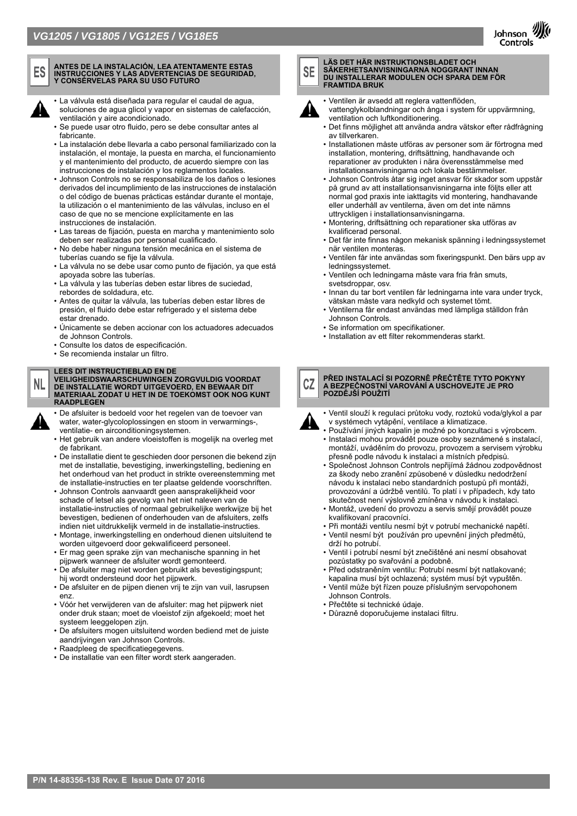

# **ANTES DE LA INSTALACIÓN, LEA ATENTAMENTE ESTAS INSTRUCCIONES Y LAS ADVERTENCIAS DE SEGURIDAD, Y CONSÉRVELAS PARA SU USO FUTURO**



• La válvula está diseñada para regular el caudal de agua, soluciones de agua glicol y vapor en sistemas de calefacción, ventilación y aire acondicionado.

- Se puede usar otro fluido, pero se debe consultar antes al fabricante.
- La instalación debe llevarla a cabo personal familiarizado con la instalación, el montaje, la puesta en marcha, el funcionamiento y el mantenimiento del producto, de acuerdo siempre con las instrucciones de instalación y los reglamentos locales.
- Johnson Controls no se responsabiliza de los daños o lesiones derivados del incumplimiento de las instrucciones de instalación o del código de buenas prácticas estándar durante el montaje, la utilización o el mantenimiento de las válvulas, incluso en el caso de que no se mencione explícitamente en las instrucciones de instalación.
- Las tareas de fijación, puesta en marcha y mantenimiento solo deben ser realizadas por personal cualificado.
- No debe haber ninguna tensión mecánica en el sistema de tuberías cuando se fije la válvula.
- La válvula no se debe usar como punto de fijación, ya que está apoyada sobre las tuberías.
- La válvula y las tuberías deben estar libres de suciedad, rebordes de soldadura, etc.
- Antes de quitar la válvula, las tuberías deben estar libres de presión, el fluido debe estar refrigerado y el sistema debe estar drenado.
- Únicamente se deben accionar con los actuadores adecuados de Johnson Controls.
- Consulte los datos de especificación.
- Se recomienda instalar un filtro.

## **LEES DIT INSTRUCTIEBLAD EN DE VEILIGHEIDSWAARSCHUWINGEN ZORGVULDIG VOORDAT DE INSTALLATIE WORDT UITGEVOERD, EN BEWAAR DIT MATERIAAL ZODAT U HET IN DE TOEKOMST OOK NOG KUNT RAADPLEGEN**

- De afsluiter is bedoeld voor het regelen van de toevoer van water, water-glycoloplossingen en stoom in verwarmings-, ventilatie- en airconditioningsystemen.
- Het gebruik van andere vloeistoffen is mogelijk na overleg met de fabrikant.
- De installatie dient te geschieden door personen die bekend zijn met de installatie, bevestiging, inwerkingstelling, bediening en het onderhoud van het product in strikte overeenstemming met de installatie-instructies en ter plaatse geldende voorschriften.
- Johnson Controls aanvaardt geen aansprakelijkheid voor schade of letsel als gevolg van het niet naleven van de installatie-instructies of normaal gebruikelijke werkwijze bij het bevestigen, bedienen of onderhouden van de afsluiters, zelfs indien niet uitdrukkelijk vermeld in de installatie-instructies.
- Montage, inwerkingstelling en onderhoud dienen uitsluitend te worden uitgevoerd door gekwalificeerd personeel.
- Er mag geen sprake zijn van mechanische spanning in het pijpwerk wanneer de afsluiter wordt gemonteerd.
- De afsluiter mag niet worden gebruikt als bevestigingspunt; hij wordt ondersteund door het pijpwerk.
- De afsluiter en de pijpen dienen vrij te zijn van vuil, lasrupsen enz.
- Vóór het verwijderen van de afsluiter: mag het pijpwerk niet onder druk staan; moet de vloeistof zijn afgekoeld; moet het systeem leeggelopen zijn.
- De afsluiters mogen uitsluitend worden bediend met de juiste aandrijvingen van Johnson Controls.
- Raadpleeg de specificatiegegevens.
- De installatie van een filter wordt sterk aangeraden.



Controls



SE

**LÄS DET HÄR INSTRUKTIONSBLADET OCH SÄKERHETSANVISNINGARNA NOGGRANT INNAN DU INSTALLERAR MODULEN OCH SPARA DEM FÖR FRAMTIDA BRUK** 



• Ventilen är avsedd att reglera vattenflöden, vattenglykolblandningar och ånga i system för uppvärmning, ventilation och luftkonditionering.

- Det finns möjlighet att använda andra vätskor efter rådfrågning av tillverkaren.
- Installationen måste utföras av personer som är förtrogna med installation, montering, driftsättning, handhavande och reparationer av produkten i nära överensstämmelse med installationsanvisningarna och lokala bestämmelser.
- Johnson Controls åtar sig inget ansvar för skador som uppstår på grund av att installationsanvisningarna inte följts eller att normal god praxis inte iakttagits vid montering, handhavande eller underhåll av ventilerna, även om det inte nämns uttryckligen i installationsanvisningarna.
- Montering, driftsättning och reparationer ska utföras av kvalificerad personal.
- Det får inte finnas någon mekanisk spänning i ledningssystemet när ventilen monteras.
- Ventilen får inte användas som fixeringspunkt. Den bärs upp av ledningssystemet.
- Ventilen och ledningarna måste vara fria från smuts, svetsdroppar, osv.
- Innan du tar bort ventilen får ledningarna inte vara under tryck, vätskan måste vara nedkyld och systemet tömt.
- Ventilerna får endast användas med lämpliga ställdon från Johnson Controls.
- Se information om specifikationer.
- Installation av ett filter rekommenderas starkt.

### **PŘED INSTALACÍ SI POZORNĚ PŘEČTĚTE TYTO POKYNY**  CZ **A BEZPEČNOSTNÍ VAROVÁNÍ A USCHOVEJTE JE PRO POZDĚJŠÍ POUŽITÍ**

- Ventil slouží k regulaci průtoku vody, roztoků voda/glykol a par v systémech vytápění, ventilace a klimatizace.
	- Používání jiných kapalin je možné po konzultaci s výrobcem. • Instalaci mohou provádět pouze osoby seznámené s instalací, montáží, uváděním do provozu, provozem a servisem výrobku přesně podle návodu k instalaci a místních předpisů.
	- Společnost Johnson Controls nepřijímá žádnou zodpovědnost za škody nebo zranění způsobené v důsledku nedodržení návodu k instalaci nebo standardních postupů při montáži, provozování a údržbě ventilů. To platí i v případech, kdy tato skutečnost není výslovně zmíněna v návodu k instalaci.
	- Montáž, uvedení do provozu a servis smějí provádět pouze kvalifikovaní pracovníci.
	- Při montáži ventilu nesmí být v potrubí mechanické napětí.
	- Ventil nesmí být používán pro upevnění jiných předmětů,
		- drží ho potrubí.
	- Ventil i potrubí nesmí být znečištěné ani nesmí obsahovat pozůstatky po svařování a podobně.
	- Před odstraněním ventilu: Potrubí nesmí být natlakované; kapalina musí být ochlazená; systém musí být vypuštěn.
	- Ventil může být řízen pouze příslušným servopohonem Johnson Controls.
	- Přečtěte si technické údaje.
	- Důrazně doporučujeme instalaci filtru.



NL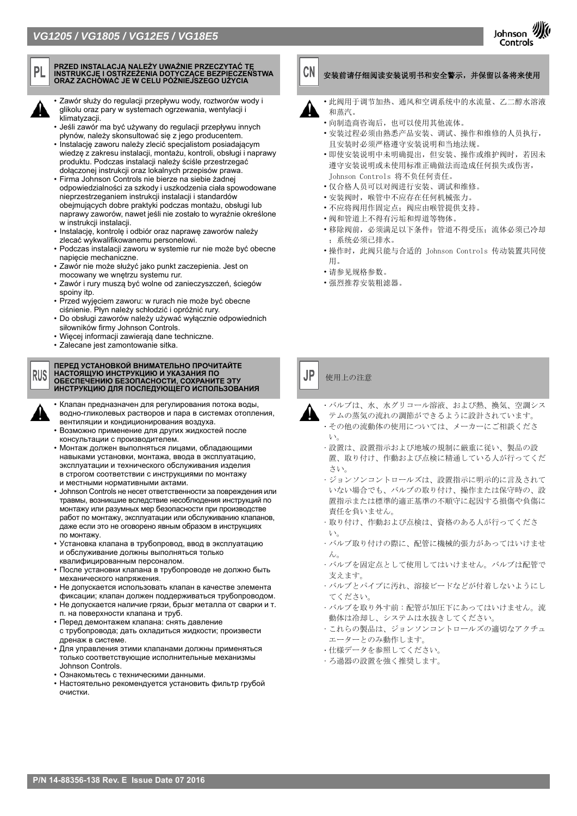

# **PRZED INSTALACJĄ NALEŻY UWAŻNIE PRZECZYTAĆ TĘ INSTRUKCJĘ I OSTRZEŻENIA DOTYCZĄCE BEZPIECZEŃSTWA ORAZ ZACHOWAĆ JE W CELU PÓŹNIEJSZEGO UŻYCIA** 安装前请仔细阅读安装说明书和安全警示,并保留以备将来使用

• Zawór służy do regulacji przepływu wody, roztworów wody i glikolu oraz pary w systemach ogrzewania, wentylacji i klimatyzacji

- Jeśli zawór ma być używany do regulacji przepływu innych płynów, należy skonsultować się z jego producentem.
- Instalację zaworu należy zlecić specjalistom posiadającym wiedzę z zakresu instalacji, montażu, kontroli, obsługi i naprawy produktu. Podczas instalacji należy ściśle przestrzegać dołączonej instrukcji oraz lokalnych przepisów prawa.
- Firma Johnson Controls nie bierze na siebie żadnej odpowiedzialności za szkody i uszkodzenia ciała spowodowane nieprzestrzeganiem instrukcji instalacji i standardów obejmujących dobre praktyki podczas montażu, obsługi lub naprawy zaworów, nawet jeśli nie zostało to wyraźnie określone w instrukcji instalacji.
- Instalację, kontrolę i odbiór oraz naprawę zaworów należy zlecać wykwalifikowanemu personelowi.
- Podczas instalacji zaworu w systemie rur nie może być obecne napięcie mechaniczne.
- Zawór nie może służyć jako punkt zaczepienia. Jest on mocowany we wnętrzu systemu rur.
- Zawór i rury muszą być wolne od zanieczyszczeń, ściegów spoiny itp.
- Przed wyjęciem zaworu: w rurach nie może być obecne ciśnienie. Płyn należy schłodzić i opróżnić rury.
- Do obsługi zaworów należy używać wyłącznie odpowiednich siłowników firmy Johnson Controls.
- Więcej informacji zawierają dane techniczne.
- Zalecane jest zamontowanie sitka.

### **ПЕРЕД УСТАНОВКОЙ ВНИМАТЕЛЬНО ПРОЧИТАЙТЕ НАСТОЯЩУЮ ИНСТРУКЦИЮ И УКАЗАНИЯ ПО RUS ОБЕСПЕЧЕНИЮ БЕЗОПАСНОСТИ, СОХРАНИТЕ ЭТУ ИНСТРУКЦИЮ ДЛЯ ПОСЛЕДУЮЩЕГО ИСПОЛЬЗОВАНИЯ**



- Клапан предназначен для регулирования потока воды, водно-гликолевых растворов и пара в системах отопления, вентиляции и кондиционирования воздуха.
- Возможно применение для других жидкостей после консультации с производителем.
- Монтаж должен выполняться лицами, обладающими навыками установки, монтажа, ввода в эксплуатацию, эксплуатации и технического обслуживания изделия в строгом соответствии с инструкциями по монтажу и местными нормативными актами.
- Johnson Controls не несет ответственности за повреждения или травмы, возникшие вследствие несоблюдения инструкций по монтажу или разумных мер безопасности при производстве работ по монтажу, эксплуатации или обслуживанию клапанов, даже если это не оговорено явным образом в инструкциях по монтажу.
- Установка клапана в трубопровод, ввод в эксплуатацию и обслуживание должны выполняться только квалифицированным персоналом.
- После установки клапана в трубопроводе не должно быть механического напряжения.
- Не допускается использовать клапан в качестве элемента фиксации; клапан должен поддерживаться трубопроводом.
- Не допускается наличие грязи, брызг металла от сварки и т. п. на поверхности клапана и труб.
- Перед демонтажем клапана: снять давление
- с трубопровода; дать охладиться жидкости; произвести дренаж в системе.
- Для управления этими клапанами должны применяться только соответствующие исполнительные механизмы Johnson Controls.
- Ознакомьтесь с техническими данными.
- Настоятельно рекомендуется установить фильтр грубой очистки.

• 此阀用于调节加热、通风和空调系统中的水流量、乙二醇水溶液 和蒸汽。

- 向制造商咨询后,也可以使用其他流体。
- 安装过程必须由熟悉产品安装、调试、操作和维修的人员执行, 且安装时必须严格遵守安装说明和当地法规。
- 即使安装说明中未明确提出,但安装、操作或维护阀时,若因未 遵守安装说明或未使用标准正确做法而造成任何损失或伤害, Johnson Controls 将不负任何责任。
- 仅合格人员可以对阀进行安装、调试和维修。
- 安装阀时,喉管中不应存在任何机械张力。
- 不应将阀用作固定点;阀应由喉管提供支持。
- 阀和管道上不得有污垢和焊道等物体。
- 移除阀前,必须满足以下条件:管道不得受压;流体必须已冷却 ;系统必须已排水。
- 操作时,此阀只能与合适的 Johnson Controls 传动装置共同使 用。
- 请参见规格参数。
- 强烈推荐安装粗滤器。



• バルブは、水、水グリコール溶液、および熱、換気、空調シス テムの蒸気の流れの調節ができるように設計されています。

- その他の流動体の使用については、メーカーにご相談くださ い。
- 設置は、設置指示および地域の規制に厳重に従い、製品の設 置、取り付け、作動および点検に精通している人が行ってくだ さい。
- ジョンソンコントロールズは、設置指示に明示的に言及されて いない場合でも、バルブの取り付け、操作または保守時の、設 置指示または標準的適正基準の不順守に起因する損傷や負傷に 責任を負いません。
- 取り付け、作動および点検は、資格のある人が行ってくださ い。
- バルブ取り付けの際に、配管に機械的張力があってはいけませ ん。
- バルブを固定点として使用してはいけません。バルブは配管で 支えます。
- バルブとパイプに汚れ、溶接ビードなどが付着しないようにし てください。
- バルブを取り外す前 : 配管が加圧下にあってはいけません。流 動体は冷却し、システムは水抜きしてください。
- これらの製品は、ジョンソンコントロールズの適切なアクチュ エーターとのみ動作します。
- 仕様データを参照してください。
- ろ過器の設置を強く推奨します。

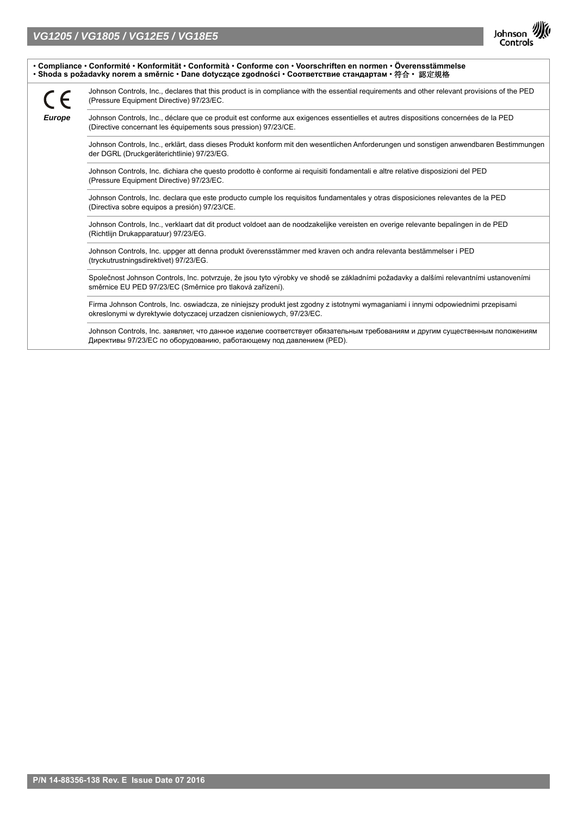

• **Compliance** • **Conformité** • **Konformität** • **Conformità** • **Conforme con** • **Voorschriften en normen** • **Överensstämmelse**  • **Shoda s požadavky norem a směrnic** • **Dane dotyczące zgodności** • **Соответствие стандартам** • 符合 • 認定規格

Johnson Controls, Inc., declares that this product is in compliance with the essential requirements and other relevant provisions of the PED (Pressure Equipment Directive) 97/23/EC.

← *Europe*

Johnson Controls, Inc., déclare que ce produit est conforme aux exigences essentielles et autres dispositions concernées de la PED (Directive concernant les équipements sous pression) 97/23/CE.

Johnson Controls, Inc., erklärt, dass dieses Produkt konform mit den wesentlichen Anforderungen und sonstigen anwendbaren Bestimmungen der DGRL (Druckgeräterichtlinie) 97/23/EG.

Johnson Controls, Inc. dichiara che questo prodotto è conforme ai requisiti fondamentali e altre relative disposizioni del PED (Pressure Equipment Directive) 97/23/EC.

Johnson Controls, Inc. declara que este producto cumple los requisitos fundamentales y otras disposiciones relevantes de la PED (Directiva sobre equipos a presión) 97/23/CE.

Johnson Controls, Inc., verklaart dat dit product voldoet aan de noodzakelijke vereisten en overige relevante bepalingen in de PED (Richtlijn Drukapparatuur) 97/23/EG.

Johnson Controls, Inc. uppger att denna produkt överensstämmer med kraven och andra relevanta bestämmelser i PED (tryckutrustningsdirektivet) 97/23/EG.

Společnost Johnson Controls, Inc. potvrzuje, že jsou tyto výrobky ve shodě se základními požadavky a dalšími relevantními ustanoveními směrnice EU PED 97/23/EC (Směrnice pro tlaková zařízení).

Firma Johnson Controls, Inc. oswiadcza, ze niniejszy produkt jest zgodny z istotnymi wymaganiami i innymi odpowiednimi przepisami okreslonymi w dyrektywie dotyczacej urzadzen cisnieniowych, 97/23/EC.

Johnson Controls, Inc. заявляет, что данное изделие соответствует обязательным требованиям и другим существенным положениям Директивы 97/23/EC по оборудованию, работающему под давлением (PED).